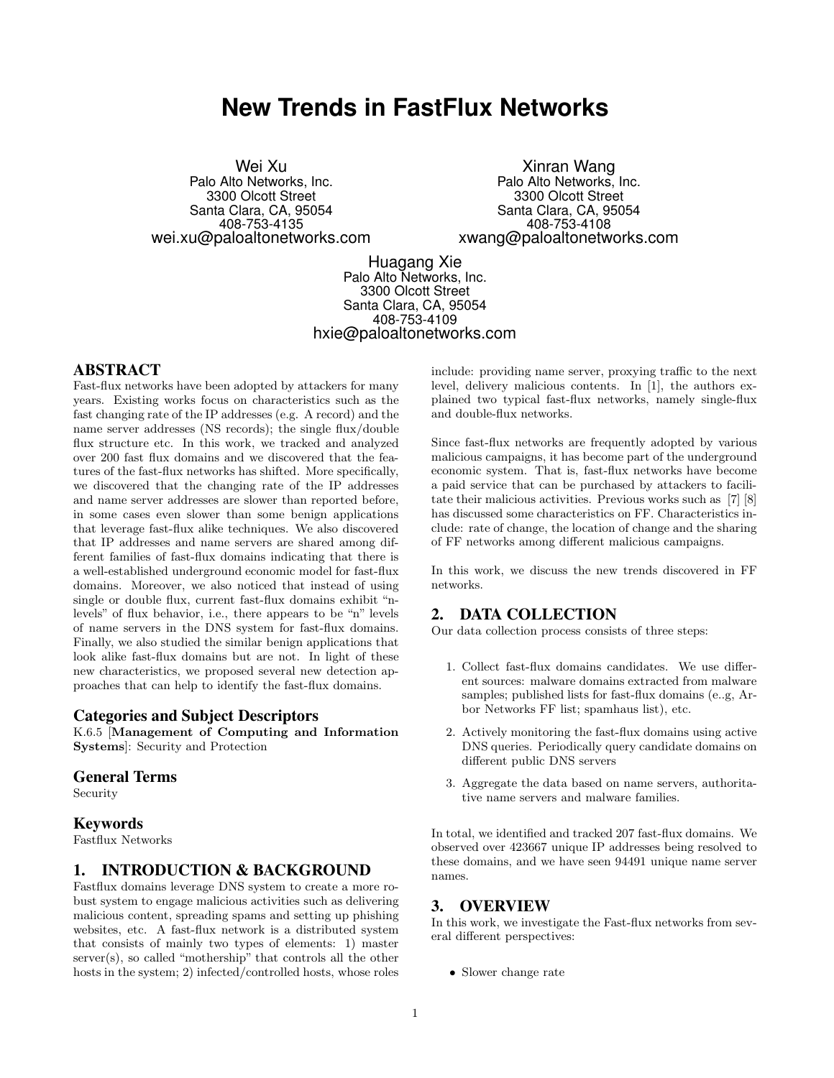# **New Trends in FastFlux Networks**

Wei Xu Palo Alto Networks, Inc. 3300 Olcott Street Santa Clara, CA, 95054 408-753-4135 wei.xu@paloaltonetworks.com

Xinran Wang Palo Alto Networks, Inc. 3300 Olcott Street Santa Clara, CA, 95054 408-753-4108 xwang@paloaltonetworks.com

Huagang Xie Palo Alto Networks, Inc. 3300 Olcott Street Santa Clara, CA, 95054 408-753-4109 hxie@paloaltonetworks.com

## ABSTRACT

Fast-flux networks have been adopted by attackers for many years. Existing works focus on characteristics such as the fast changing rate of the IP addresses (e.g. A record) and the name server addresses (NS records); the single flux/double flux structure etc. In this work, we tracked and analyzed over 200 fast flux domains and we discovered that the features of the fast-flux networks has shifted. More specifically, we discovered that the changing rate of the IP addresses and name server addresses are slower than reported before, in some cases even slower than some benign applications that leverage fast-flux alike techniques. We also discovered that IP addresses and name servers are shared among different families of fast-flux domains indicating that there is a well-established underground economic model for fast-flux domains. Moreover, we also noticed that instead of using single or double flux, current fast-flux domains exhibit "nlevels" of flux behavior, i.e., there appears to be "n" levels of name servers in the DNS system for fast-flux domains. Finally, we also studied the similar benign applications that look alike fast-flux domains but are not. In light of these new characteristics, we proposed several new detection approaches that can help to identify the fast-flux domains.

#### Categories and Subject Descriptors

K.6.5 [Management of Computing and Information Systems]: Security and Protection

#### General Terms

Security

## Keywords

Fastflux Networks

# 1. INTRODUCTION & BACKGROUND

Fastflux domains leverage DNS system to create a more robust system to engage malicious activities such as delivering malicious content, spreading spams and setting up phishing websites, etc. A fast-flux network is a distributed system that consists of mainly two types of elements: 1) master server(s), so called "mothership" that controls all the other hosts in the system; 2) infected/controlled hosts, whose roles include: providing name server, proxying traffic to the next level, delivery malicious contents. In [1], the authors explained two typical fast-flux networks, namely single-flux and double-flux networks.

Since fast-flux networks are frequently adopted by various malicious campaigns, it has become part of the underground economic system. That is, fast-flux networks have become a paid service that can be purchased by attackers to facilitate their malicious activities. Previous works such as [7] [8] has discussed some characteristics on FF. Characteristics include: rate of change, the location of change and the sharing of FF networks among different malicious campaigns.

In this work, we discuss the new trends discovered in FF networks.

## 2. DATA COLLECTION

Our data collection process consists of three steps:

- 1. Collect fast-flux domains candidates. We use different sources: malware domains extracted from malware samples; published lists for fast-flux domains (e..g, Arbor Networks FF list; spamhaus list), etc.
- 2. Actively monitoring the fast-flux domains using active DNS queries. Periodically query candidate domains on different public DNS servers
- 3. Aggregate the data based on name servers, authoritative name servers and malware families.

In total, we identified and tracked 207 fast-flux domains. We observed over 423667 unique IP addresses being resolved to these domains, and we have seen 94491 unique name server names.

## 3. OVERVIEW

In this work, we investigate the Fast-flux networks from several different perspectives:

• Slower change rate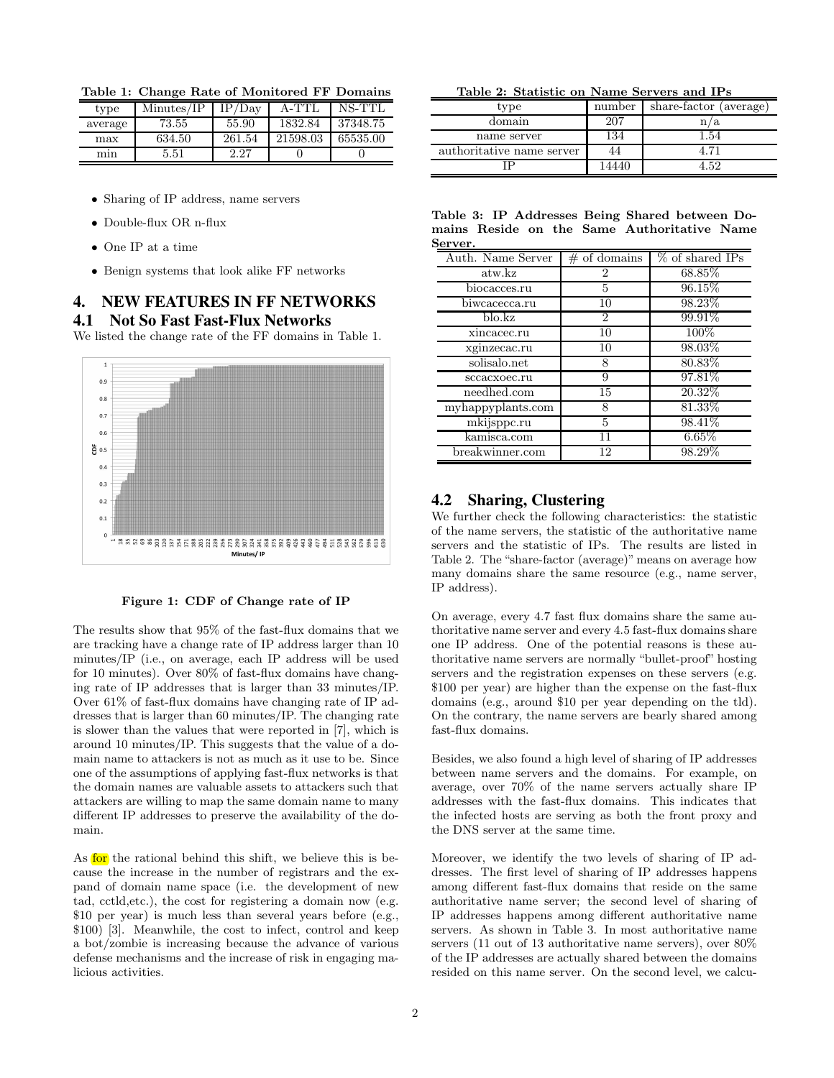Table 1: Change Rate of Monitored FF Domains

| type    | Minutes/IP | TP/Dav | A <sub>-TT</sub> | NS-TTL   |
|---------|------------|--------|------------------|----------|
| average | 73.55      | 55.90  | 1832.84          | 37348.75 |
| max     | 634.50     | 261.54 | 21598.03         | 65535.00 |
| mın     | 5.51       | 2.27   |                  |          |

- Sharing of IP address, name servers
- Double-flux OR n-flux
- One IP at a time
- Benign systems that look alike FF networks

# 4. NEW FEATURES IN FF NETWORKS 4.1 Not So Fast Fast-Flux Networks

We listed the change rate of the FF domains in Table 1.





The results show that 95% of the fast-flux domains that we are tracking have a change rate of IP address larger than 10 minutes/IP (i.e., on average, each IP address will be used for 10 minutes). Over 80% of fast-flux domains have changing rate of IP addresses that is larger than 33 minutes/IP. Over 61% of fast-flux domains have changing rate of IP addresses that is larger than 60 minutes/IP. The changing rate is slower than the values that were reported in [7], which is around 10 minutes/IP. This suggests that the value of a domain name to attackers is not as much as it use to be. Since one of the assumptions of applying fast-flux networks is that the domain names are valuable assets to attackers such that attackers are willing to map the same domain name to many different IP addresses to preserve the availability of the domain.

As for the rational behind this shift, we believe this is because the increase in the number of registrars and the expand of domain name space (i.e. the development of new tad, cctld,etc.), the cost for registering a domain now (e.g. \$10 per year) is much less than several years before (e.g., \$100) [3]. Meanwhile, the cost to infect, control and keep a bot/zombie is increasing because the advance of various defense mechanisms and the increase of risk in engaging malicious activities.

Table 2: Statistic on Name Servers and IPs

| type                      | number | share-factor (average) |
|---------------------------|--------|------------------------|
| domain                    | 207    | a                      |
| name server               | 134    | l.54                   |
| authoritative name server | 44     |                        |
|                           | 14440  | - 59                   |

|         |  |  |  | Table 3: IP Addresses Being Shared between Do- |  |
|---------|--|--|--|------------------------------------------------|--|
|         |  |  |  | mains Reside on the Same Authoritative Name    |  |
| Server. |  |  |  |                                                |  |

| Auth. Name Server       | $#$ of domains | % of shared IPs |
|-------------------------|----------------|-----------------|
| atw.kz                  | $\overline{2}$ | 68.85%          |
| biocacces.ru            | 5              | 96.15%          |
| biwcacecca.ru           | 10             | 98.23%          |
| $b$ lo. $k\overline{z}$ | $\overline{2}$ | 99.91%          |
| xincacec.ru             | 10             | 100%            |
| xginzecac.ru            | 10             | 98.03%          |
| solisalo.net            | 8              | 80.83%          |
| sccacxoec.ru            | 9              | 97.81\%         |
| needhed.com             | 15             | 20.32%          |
| myhappyplants.com       | 8              | 81.33%          |
| mkijsppc.ru             | 5              | 98.41%          |
| kamisca.com             | 11             | 6.65%           |
| breakwinner.com         | 12             | 98.29%          |

## 4.2 Sharing, Clustering

We further check the following characteristics: the statistic of the name servers, the statistic of the authoritative name servers and the statistic of IPs. The results are listed in Table 2. The "share-factor (average)" means on average how many domains share the same resource (e.g., name server, IP address).

On average, every 4.7 fast flux domains share the same authoritative name server and every 4.5 fast-flux domains share one IP address. One of the potential reasons is these authoritative name servers are normally "bullet-proof" hosting servers and the registration expenses on these servers (e.g. \$100 per year) are higher than the expense on the fast-flux domains (e.g., around \$10 per year depending on the tld). On the contrary, the name servers are bearly shared among fast-flux domains.

Besides, we also found a high level of sharing of IP addresses between name servers and the domains. For example, on average, over 70% of the name servers actually share IP addresses with the fast-flux domains. This indicates that the infected hosts are serving as both the front proxy and the DNS server at the same time.

Moreover, we identify the two levels of sharing of IP addresses. The first level of sharing of IP addresses happens among different fast-flux domains that reside on the same authoritative name server; the second level of sharing of IP addresses happens among different authoritative name servers. As shown in Table 3. In most authoritative name servers (11 out of 13 authoritative name servers), over 80% of the IP addresses are actually shared between the domains resided on this name server. On the second level, we calcu-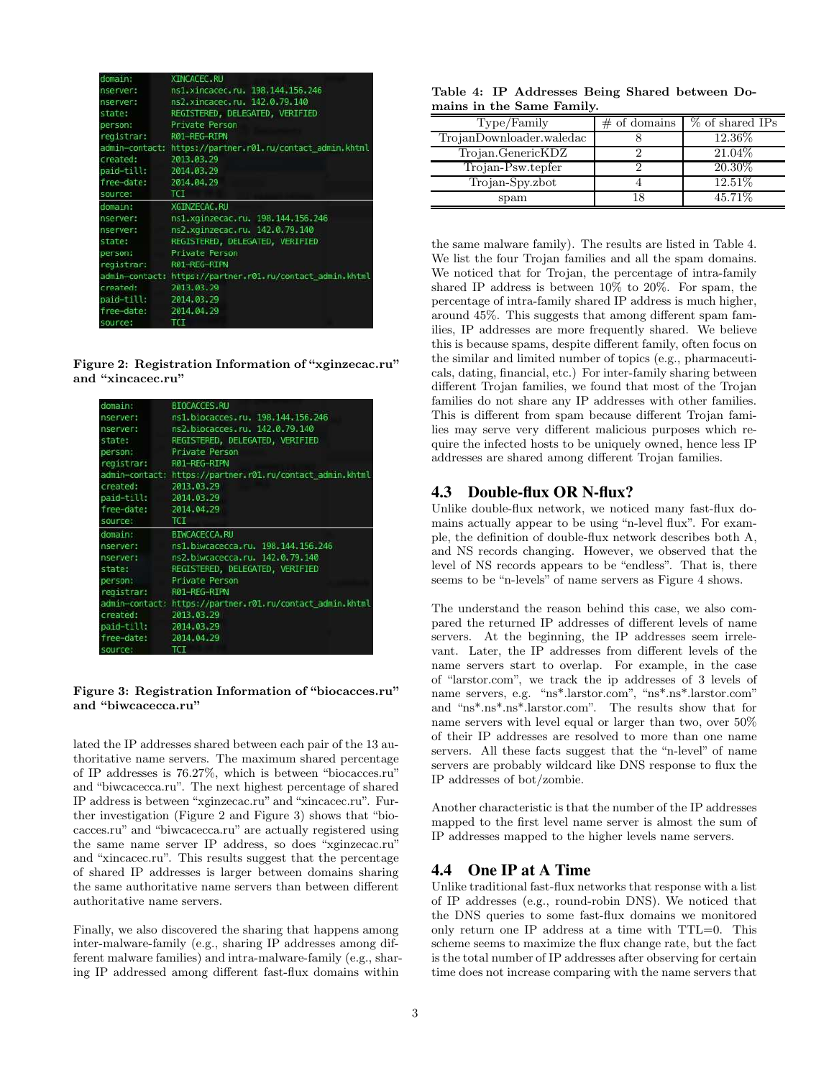| domain:                                                                                                        | <b>XINCACEC RU</b>                                        |
|----------------------------------------------------------------------------------------------------------------|-----------------------------------------------------------|
| nserver:                                                                                                       | ns1.xincacec.ru. 198.144.156.246                          |
|                                                                                                                | nserver: ns2.xincacec.ru. 142.0.79.140                    |
| state: The state of the state of the state of the state of the state of the state of the state of the state of | REGISTERED, DELEGATED, VERIFIED                           |
| person:                                                                                                        | Private Person                                            |
| registrar: R01-REG-RIPN                                                                                        |                                                           |
|                                                                                                                | admin-contact: https://partner.r01.ru/contact admin.khtml |
| created:                                                                                                       | 2013 03 29                                                |
| paid-till: 2014.03.29                                                                                          |                                                           |
| free-date: 2014.04.29                                                                                          |                                                           |
| source:                                                                                                        | TCI.                                                      |
| domain:                                                                                                        | XGINZECAC.RU                                              |
| nserver:                                                                                                       | ns1.xginzecac.ru. 198.144.156.246                         |
| nserver                                                                                                        | ns2.xqinzecac.ru. 142.0.79.140                            |
|                                                                                                                | state: REGISTERED, DELEGATED, VERIFIED                    |
| person:                                                                                                        | Private Person                                            |
| registrar: R01-REG-RIPN                                                                                        |                                                           |
|                                                                                                                | admin-contact: https://partner.r01.ru/contact admin.khtml |
| created: 2013.03.29                                                                                            |                                                           |
| paid-till: 2014.03.29                                                                                          |                                                           |
| free-date: 2014.04.29                                                                                          |                                                           |
| COUNCES                                                                                                        | <b>TOT</b>                                                |

Figure 2: Registration Information of "xginzecac.ru" and "xincacec.ru"

| domain:                 | <b>BIOCACCES RU</b>                                       |
|-------------------------|-----------------------------------------------------------|
| nserver:                | ns1.biocacces.ru. 198.144.156.246                         |
| nserver:                | ns2.biocacces.ru. 142.0.79.140                            |
| state:                  | REGISTERED, DELEGATED, VERIFIED                           |
| person:                 | Private Person                                            |
| registrar: R01-REG-RIPN |                                                           |
|                         | admin-contact: https://partner.r01.ru/contact admin.khtml |
| created:                | 2013 03:29                                                |
| paid-till: 2014.03.29   |                                                           |
| free-date: 2014.04.29   |                                                           |
| source:                 | <b>TCI</b>                                                |
| domain:                 | <b>BIWCACECCA, RU</b>                                     |
| nserver:                | ns1 biwcacecca.ru. 198.144.156.246                        |
| nserver:                | ns2.biwcacecca.ru. 142 0.79.140                           |
| state: The state:       | REGISTERED, DELEGATED, VERIFIED                           |
| person:                 | Private Person                                            |
| registrar:              | R01-REG-RIPN                                              |
|                         | admin-contact: https://partner.r01.ru/contact_admin.khtml |
| created:                | 2013.03.29                                                |
| paid-till: 2014.03.29   |                                                           |
| free-date: 2014 04:29   |                                                           |
| <b>SOUTCA</b>           | TCT                                                       |

#### Figure 3: Registration Information of "biocacces.ru" and "biwcacecca.ru"

lated the IP addresses shared between each pair of the 13 authoritative name servers. The maximum shared percentage of IP addresses is 76.27%, which is between "biocacces.ru" and "biwcacecca.ru". The next highest percentage of shared IP address is between "xginzecac.ru" and "xincacec.ru". Further investigation (Figure 2 and Figure 3) shows that "biocacces.ru" and "biwcacecca.ru" are actually registered using the same name server IP address, so does "xginzecac.ru" and "xincacec.ru". This results suggest that the percentage of shared IP addresses is larger between domains sharing the same authoritative name servers than between different authoritative name servers.

Finally, we also discovered the sharing that happens among inter-malware-family (e.g., sharing IP addresses among different malware families) and intra-malware-family (e.g., sharing IP addressed among different fast-flux domains within

|  | Table 4: IP Addresses Being Shared between Do- |  |  |
|--|------------------------------------------------|--|--|
|  | mains in the Same Family.                      |  |  |

| Type/Family              | $\#$ of domains | % of shared IPs |
|--------------------------|-----------------|-----------------|
| TrojanDownloader.waledac |                 | 12.36\%         |
| Trojan.GenericKDZ        |                 | 21.04\%         |
| Trojan-Psw.tepfer        |                 | 20.30\%         |
| Trojan-Spy.zbot          |                 | 12.51\%         |
| spam                     | 18              | 45.71\%         |

the same malware family). The results are listed in Table 4. We list the four Trojan families and all the spam domains. We noticed that for Trojan, the percentage of intra-family shared IP address is between 10% to 20%. For spam, the percentage of intra-family shared IP address is much higher, around 45%. This suggests that among different spam families, IP addresses are more frequently shared. We believe this is because spams, despite different family, often focus on the similar and limited number of topics (e.g., pharmaceuticals, dating, financial, etc.) For inter-family sharing between different Trojan families, we found that most of the Trojan families do not share any IP addresses with other families. This is different from spam because different Trojan families may serve very different malicious purposes which require the infected hosts to be uniquely owned, hence less IP addresses are shared among different Trojan families.

# 4.3 Double-flux OR N-flux?

Unlike double-flux network, we noticed many fast-flux domains actually appear to be using "n-level flux". For example, the definition of double-flux network describes both A, and NS records changing. However, we observed that the level of NS records appears to be "endless". That is, there seems to be "n-levels" of name servers as Figure 4 shows.

The understand the reason behind this case, we also compared the returned IP addresses of different levels of name servers. At the beginning, the IP addresses seem irrelevant. Later, the IP addresses from different levels of the name servers start to overlap. For example, in the case of "larstor.com", we track the ip addresses of 3 levels of name servers, e.g. "ns\*.larstor.com", "ns\*.ns\*.larstor.com" and "ns\*.ns\*.ns\*.larstor.com". The results show that for name servers with level equal or larger than two, over 50% of their IP addresses are resolved to more than one name servers. All these facts suggest that the "n-level" of name servers are probably wildcard like DNS response to flux the IP addresses of bot/zombie.

Another characteristic is that the number of the IP addresses mapped to the first level name server is almost the sum of IP addresses mapped to the higher levels name servers.

## 4.4 One IP at A Time

Unlike traditional fast-flux networks that response with a list of IP addresses (e.g., round-robin DNS). We noticed that the DNS queries to some fast-flux domains we monitored only return one IP address at a time with TTL=0. This scheme seems to maximize the flux change rate, but the fact is the total number of IP addresses after observing for certain time does not increase comparing with the name servers that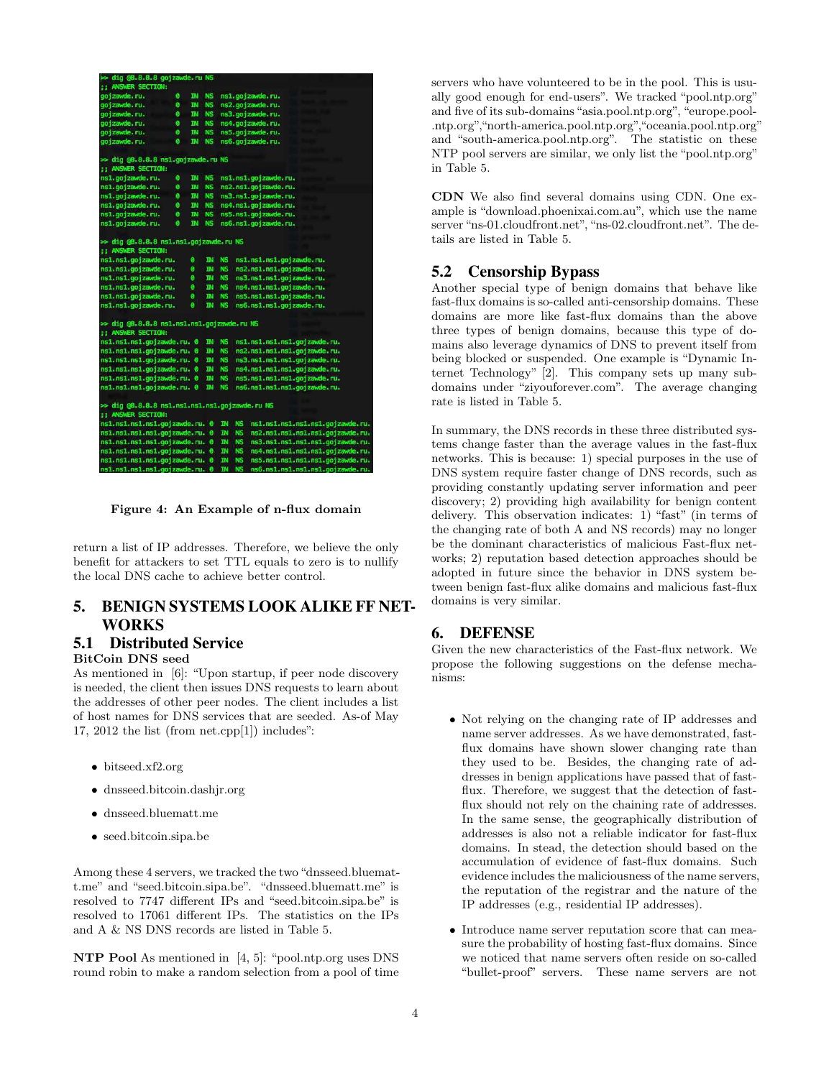| oo dig @8.8.8.8 gojzawde.ru NS                 |           |           |           |              |              |                                  |
|------------------------------------------------|-----------|-----------|-----------|--------------|--------------|----------------------------------|
| <b>11 ANSWER SECTION:</b>                      |           |           |           |              |              |                                  |
| goj zawde. ru.                                 | ø         | IN        | <b>NS</b> |              |              | ns1.gojzawde.ru.                 |
| goj zawde. ru.                                 | ø         | τN        | <b>NS</b> |              |              | ns2.gojzawde.ru.                 |
| gojzawde.ru.                                   | ø         | <b>IN</b> | <b>NS</b> |              |              | ns3.gojzawde.ru.                 |
| gojzawde.ru.                                   | $\bullet$ | <b>IN</b> | <b>NS</b> |              |              | ns4.gojzawde.ru.                 |
| gojzawde.ru.                                   | ø         | <b>IN</b> | <b>NS</b> |              |              | ns5.gojzawde.ru.                 |
| gojzawde.ru.                                   | ø         | <b>IN</b> | <b>NS</b> |              |              | ns6.gojzawde.ru.                 |
| >> dig @8.8.8.8 ns1.gojzawde.ru NS             |           |           |           |              |              |                                  |
| <b>;; ANSWER SECTION:</b>                      |           |           |           |              |              |                                  |
| ns1.gojzawde.ru.                               | ø         | Þ         | <b>NS</b> |              |              | ns1.ns1.gojzawde.ru.             |
| ns1.gojzawde.ru.                               | $\bullet$ | <b>IN</b> | <b>NS</b> |              |              | ns2.ns1.gojzawde.ru.             |
| ns1.gojzawde.ru.                               | 0         | <b>IN</b> | <b>NS</b> |              |              | ns3.ns1.gojzawde.ru.             |
| ns1.gojzawde.ru.                               | ø         | <b>IN</b> | <b>NS</b> |              |              | ns4.ns1.gojzawde.ru.             |
| ns1.gojzawde.ru.                               | ø         | <b>IN</b> | <b>NS</b> |              |              | ns5.ns1.gojzawde.ru.             |
| ns1.gojzawde.ru.                               | ø         | IN.       | <b>NS</b> |              |              | ns6.ns1.gojzawde.ru.             |
| >> dig @8.8.8.8 ns1.ns1.gojzawde.ru NS         |           |           |           |              |              |                                  |
| <b>11 ANSWER SECTION:</b>                      |           |           |           |              |              |                                  |
| ns1.ns1.gojzawde.ru.                           |           | ø         | <b>IN</b> | <b>NS</b>    |              | ns1.ns1.ns1.gojzawde.ru.         |
| ns1.ns1.gojzawde.ru.                           |           | ø         | <b>IN</b> | <b>NS</b>    |              | ns2.ns1.ns1.gojzawde.ru.         |
| ns1.ns1.gojzawde.ru.                           |           | ø         | <b>IN</b> | <b>NS</b>    |              | ns3.ns1.ns1.gojzawde.ru.         |
| ns1.ns1.gojzawde.ru.                           |           | ٥         | <b>IN</b> | <b>NS</b>    |              | ns4.ns1.ns1.gojzawde.ru.         |
| ns1.ns1.gojzawde.ru.                           |           | ø         | <b>IN</b> | <b>NS</b>    |              | ns5.ns1.ns1.gojzawde.ru.         |
| ns1.ns1.gojzawde.ru.                           |           | ø         | <b>IN</b> | <b>NS</b>    |              | ns6.ns1.ns1.gojzawde.ru.         |
| >> dig @8.8.8.8 ns1.ns1.ns1.gojzawde.ru NS     |           |           |           |              |              |                                  |
| <b>;; ANSWER SECTION:</b>                      |           |           |           |              |              |                                  |
| ns1.ns1.ns1.gojzawde.ru. 0                     |           |           | <b>IN</b> | <b>NS</b>    |              | ns1.ns1.ns1.ns1.gojzawde.ru.     |
| ns1.ns1.ns1.gojzawde.ru. 0                     |           |           | <b>IN</b> | <b>NS</b>    |              | ns2.ns1.ns1.ns1.gojzawde.ru.     |
| ns1.ns1.ns1.gojzawde.ru. 0                     |           |           | <b>IN</b> | <b>NS</b>    |              | ns3.ns1.ns1.ns1.gojzawde.ru.     |
| ns1.ns1.ns1.gojzawde.ru. 0                     |           |           | <b>IN</b> | <b>NS</b>    |              | ns4.ns1.ns1.ns1.gojzawde.ru.     |
| ns1.ns1.ns1.gojzawde.ru. 0                     |           |           | TN        | <b>NS</b>    |              | ns5.ns1.ns1.ns1.gojzawde.ru.     |
| ns1.ns1.ns1.gojzawde.ru. 0                     |           |           | <b>IN</b> | <b>NS</b>    |              | ns6.ns1.ns1.ns1.gojzawde.ru.     |
| >> dig @8.8.8.8 ns1.ns1.ns1.ns1.gojzawde.ru NS |           |           |           |              |              |                                  |
| <b>;; ANSWER SECTION:</b>                      |           |           |           |              |              |                                  |
| ns1.ns1.ns1.ns1.gojzawde.ru. 0                 |           |           |           | <b>IN</b>    | <b>NS</b>    | ns1.ns1.ns1.ns1.ns1.gojzawde.ru. |
| ns1.ns1.ns1.ns1.gojzawde.ru. 0                 |           |           |           | <b>IN</b>    | NS.          | ns2.ns1.ns1.ns1.ns1.gojzawde.ru. |
| ns1.ns1.ns1.ns1.gojzawde.ru. 0                 |           |           |           | <b>IN</b>    | <b>NS</b>    | ns3.ns1.ns1.ns1.ns1.gojzawde.ru. |
| ns1.ns1.ns1.ns1.gojzawde.ru. 0                 |           |           |           | $\mathbb{N}$ | NS.          | ns4.ns1.ns1.ns1.ns1.gojzawde.ru. |
| ns1.ns1.ns1.ns1.gojzawde.ru. 0                 |           |           |           | <b>IN</b>    | <b>NS</b>    | ns5.ns1.ns1.ns1.ns1.gojzawde.ru. |
| ns1.ns1.ns1.ns1.goizawde.ru. 0                 |           |           |           |              | <b>IN NS</b> | ns6.ns1.ns1.ns1.ns1.goizawde.ru. |

Figure 4: An Example of n-flux domain

return a list of IP addresses. Therefore, we believe the only benefit for attackers to set TTL equals to zero is to nullify the local DNS cache to achieve better control.

# 5. BENIGN SYSTEMS LOOK ALIKE FF NET-WORKS

# 5.1 Distributed Service

# BitCoin DNS seed

As mentioned in [6]: "Upon startup, if peer node discovery is needed, the client then issues DNS requests to learn about the addresses of other peer nodes. The client includes a list of host names for DNS services that are seeded. As-of May 17, 2012 the list (from net.cpp[1]) includes":

- bitseed.xf2.org
- dnsseed.bitcoin.dashjr.org
- dnsseed.bluematt.me
- seed.bitcoin.sipa.be

Among these 4 servers, we tracked the two "dnsseed.bluematt.me" and "seed.bitcoin.sipa.be". "dnsseed.bluematt.me" is resolved to 7747 different IPs and "seed.bitcoin.sipa.be" is resolved to 17061 different IPs. The statistics on the IPs and A & NS DNS records are listed in Table 5.

NTP Pool As mentioned in [4, 5]: "pool.ntp.org uses DNS round robin to make a random selection from a pool of time servers who have volunteered to be in the pool. This is usually good enough for end-users". We tracked "pool.ntp.org" and five of its sub-domains "asia.pool.ntp.org", "europe.pool- .ntp.org","north-america.pool.ntp.org","oceania.pool.ntp.org" and "south-america.pool.ntp.org". The statistic on these NTP pool servers are similar, we only list the "pool.ntp.org" in Table 5.

CDN We also find several domains using CDN. One example is "download.phoenixai.com.au", which use the name server "ns-01.cloudfront.net", "ns-02.cloudfront.net". The details are listed in Table 5.

## 5.2 Censorship Bypass

Another special type of benign domains that behave like fast-flux domains is so-called anti-censorship domains. These domains are more like fast-flux domains than the above three types of benign domains, because this type of domains also leverage dynamics of DNS to prevent itself from being blocked or suspended. One example is "Dynamic Internet Technology" [2]. This company sets up many subdomains under "ziyouforever.com". The average changing rate is listed in Table 5.

In summary, the DNS records in these three distributed systems change faster than the average values in the fast-flux networks. This is because: 1) special purposes in the use of DNS system require faster change of DNS records, such as providing constantly updating server information and peer discovery; 2) providing high availability for benign content delivery. This observation indicates: 1) "fast" (in terms of the changing rate of both A and NS records) may no longer be the dominant characteristics of malicious Fast-flux networks; 2) reputation based detection approaches should be adopted in future since the behavior in DNS system between benign fast-flux alike domains and malicious fast-flux domains is very similar.

## 6. DEFENSE

Given the new characteristics of the Fast-flux network. We propose the following suggestions on the defense mechanisms:

- Not relying on the changing rate of IP addresses and name server addresses. As we have demonstrated, fastflux domains have shown slower changing rate than they used to be. Besides, the changing rate of addresses in benign applications have passed that of fastflux. Therefore, we suggest that the detection of fastflux should not rely on the chaining rate of addresses. In the same sense, the geographically distribution of addresses is also not a reliable indicator for fast-flux domains. In stead, the detection should based on the accumulation of evidence of fast-flux domains. Such evidence includes the maliciousness of the name servers, the reputation of the registrar and the nature of the IP addresses (e.g., residential IP addresses).
- Introduce name server reputation score that can measure the probability of hosting fast-flux domains. Since we noticed that name servers often reside on so-called "bullet-proof" servers. These name servers are not